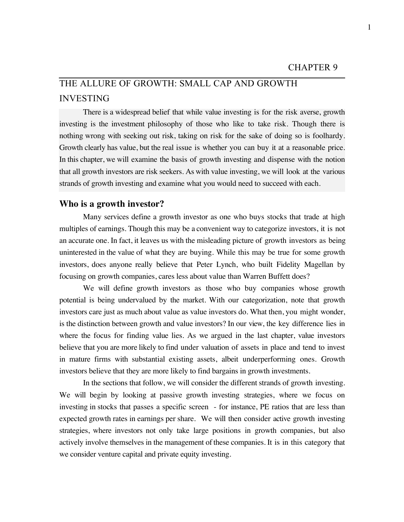# THE ALLURE OF GROWTH: SMALL CAP AND GROWTH INVESTING

There is a widespread belief that while value investing is for the risk averse, growth investing is the investment philosophy of those who like to take risk. Though there is nothing wrong with seeking out risk, taking on risk for the sake of doing so is foolhardy. Growth clearly has value, but the real issue is whether you can buy it at a reasonable price. In this chapter, we will examine the basis of growth investing and dispense with the notion that all growth investors are risk seekers. As with value investing, we will look at the various strands of growth investing and examine what you would need to succeed with each.

# **Who is a growth investor?**

Many services define a growth investor as one who buys stocks that trade at high multiples of earnings. Though this may be a convenient way to categorize investors, it is not an accurate one. In fact, it leaves us with the misleading picture of growth investors as being uninterested in the value of what they are buying. While this may be true for some growth investors, does anyone really believe that Peter Lynch, who built Fidelity Magellan by focusing on growth companies, cares less about value than Warren Buffett does?

We will define growth investors as those who buy companies whose growth potential is being undervalued by the market. With our categorization, note that growth investors care just as much about value as value investors do. What then, you might wonder, is the distinction between growth and value investors? In our view, the key difference lies in where the focus for finding value lies. As we argued in the last chapter, value investors believe that you are more likely to find under valuation of assets in place and tend to invest in mature firms with substantial existing assets, albeit underperforming ones. Growth investors believe that they are more likely to find bargains in growth investments.

In the sections that follow, we will consider the different strands of growth investing. We will begin by looking at passive growth investing strategies, where we focus on investing in stocks that passes a specific screen - for instance, PE ratios that are less than expected growth rates in earnings per share. We will then consider active growth investing strategies, where investors not only take large positions in growth companies, but also actively involve themselves in the management of these companies. It is in this category that we consider venture capital and private equity investing.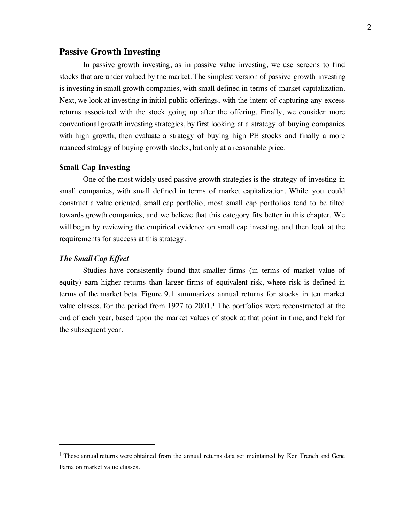# **Passive Growth Investing**

In passive growth investing, as in passive value investing, we use screens to find stocks that are under valued by the market. The simplest version of passive growth investing is investing in small growth companies, with small defined in terms of market capitalization. Next, we look at investing in initial public offerings, with the intent of capturing any excess returns associated with the stock going up after the offering. Finally, we consider more conventional growth investing strategies, by first looking at a strategy of buying companies with high growth, then evaluate a strategy of buying high PE stocks and finally a more nuanced strategy of buying growth stocks, but only at a reasonable price.

#### **Small Cap Investing**

One of the most widely used passive growth strategies is the strategy of investing in small companies, with small defined in terms of market capitalization. While you could construct a value oriented, small cap portfolio, most small cap portfolios tend to be tilted towards growth companies, and we believe that this category fits better in this chapter. We will begin by reviewing the empirical evidence on small cap investing, and then look at the requirements for success at this strategy.

# *The Small Cap Effect*

 $\overline{a}$ 

Studies have consistently found that smaller firms (in terms of market value of equity) earn higher returns than larger firms of equivalent risk, where risk is defined in terms of the market beta. Figure 9.1 summarizes annual returns for stocks in ten market value classes, for the period from 1927 to 2001.1 The portfolios were reconstructed at the end of each year, based upon the market values of stock at that point in time, and held for the subsequent year.

<sup>&</sup>lt;sup>1</sup> These annual returns were obtained from the annual returns data set maintained by Ken French and Gene Fama on market value classes.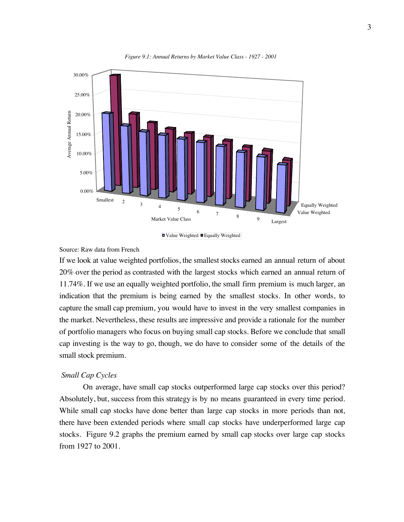

*Figure 9.1: Annual Returns by Market Value Class - 1927 - 2001*

#### Source: Raw data from French

If we look at value weighted portfolios, the smallest stocks earned an annual return of about 20% over the period as contrasted with the largest stocks which earned an annual return of 11.74%. If we use an equally weighted portfolio, the small firm premium is much larger, an indication that the premium is being earned by the smallest stocks. In other words, to capture the small cap premium, you would have to invest in the very smallest companies in the market. Nevertheless, these results are impressive and provide a rationale for the number of portfolio managers who focus on buying small cap stocks. Before we conclude that small cap investing is the way to go, though, we do have to consider some of the details of the small stock premium.

#### *Small Cap Cycles*

On average, have small cap stocks outperformed large cap stocks over this period? Absolutely, but, success from this strategy is by no means guaranteed in every time period. While small cap stocks have done better than large cap stocks in more periods than not, there have been extended periods where small cap stocks have underperformed large cap stocks. Figure 9.2 graphs the premium earned by small cap stocks over large cap stocks from 1927 to 2001.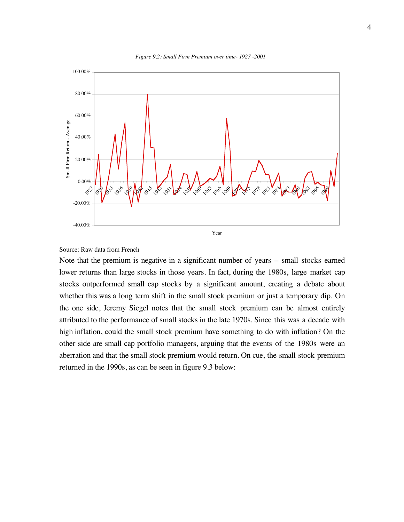

*Figure 9.2: Small Firm Premium over time- 1927 -2001*

#### Source: Raw data from French

Note that the premium is negative in a significant number of years – small stocks earned lower returns than large stocks in those years. In fact, during the 1980s, large market cap stocks outperformed small cap stocks by a significant amount, creating a debate about whether this was a long term shift in the small stock premium or just a temporary dip. On the one side, Jeremy Siegel notes that the small stock premium can be almost entirely attributed to the performance of small stocks in the late 1970s. Since this was a decade with high inflation, could the small stock premium have something to do with inflation? On the other side are small cap portfolio managers, arguing that the events of the 1980s were an aberration and that the small stock premium would return. On cue, the small stock premium returned in the 1990s, as can be seen in figure 9.3 below: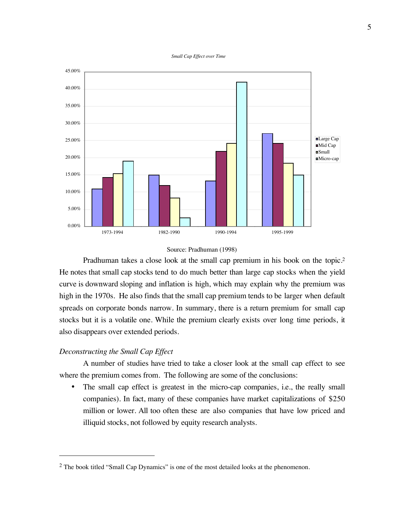#### *Small Cap Effect over Time*



Source: Pradhuman (1998)

Pradhuman takes a close look at the small cap premium in his book on the topic.2 He notes that small cap stocks tend to do much better than large cap stocks when the yield curve is downward sloping and inflation is high, which may explain why the premium was high in the 1970s. He also finds that the small cap premium tends to be larger when default spreads on corporate bonds narrow. In summary, there is a return premium for small cap stocks but it is a volatile one. While the premium clearly exists over long time periods, it also disappears over extended periods.

#### *Deconstructing the Small Cap Effect*

 $\overline{a}$ 

A number of studies have tried to take a closer look at the small cap effect to see where the premium comes from. The following are some of the conclusions:

• The small cap effect is greatest in the micro-cap companies, i.e., the really small companies). In fact, many of these companies have market capitalizations of \$250 million or lower. All too often these are also companies that have low priced and illiquid stocks, not followed by equity research analysts.

 $2$  The book titled "Small Cap Dynamics" is one of the most detailed looks at the phenomenon.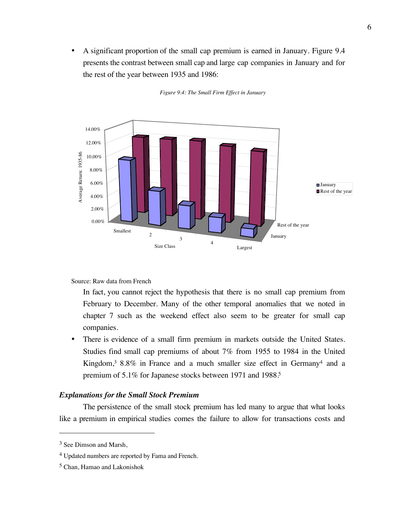• A significant proportion of the small cap premium is earned in January. Figure 9.4 presents the contrast between small cap and large cap companies in January and for the rest of the year between 1935 and 1986:



*Figure 9.4: The Small Firm Effect in January*

Source: Raw data from French

In fact, you cannot reject the hypothesis that there is no small cap premium from February to December. Many of the other temporal anomalies that we noted in chapter 7 such as the weekend effect also seem to be greater for small cap companies.

• There is evidence of a small firm premium in markets outside the United States. Studies find small cap premiums of about 7% from 1955 to 1984 in the United Kingdom,3 8.8% in France and a much smaller size effect in Germany4 and a premium of 5.1% for Japanese stocks between 1971 and 1988.5

### *Explanations for the Small Stock Premium*

The persistence of the small stock premium has led many to argue that what looks like a premium in empirical studies comes the failure to allow for transactions costs and

 $\overline{a}$ 

<sup>3</sup> See Dimson and Marsh,

<sup>4</sup> Updated numbers are reported by Fama and French.

<sup>5</sup> Chan, Hamao and Lakonishok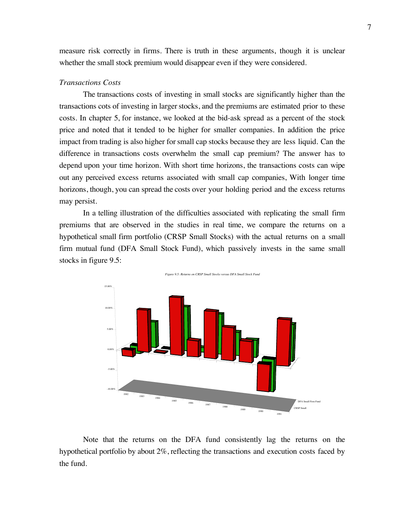measure risk correctly in firms. There is truth in these arguments, though it is unclear whether the small stock premium would disappear even if they were considered.

#### *Transactions Costs*

The transactions costs of investing in small stocks are significantly higher than the transactions cots of investing in larger stocks, and the premiums are estimated prior to these costs. In chapter 5, for instance, we looked at the bid-ask spread as a percent of the stock price and noted that it tended to be higher for smaller companies. In addition the price impact from trading is also higher for small cap stocks because they are less liquid. Can the difference in transactions costs overwhelm the small cap premium? The answer has to depend upon your time horizon. With short time horizons, the transactions costs can wipe out any perceived excess returns associated with small cap companies, With longer time horizons, though, you can spread the costs over your holding period and the excess returns may persist.

In a telling illustration of the difficulties associated with replicating the small firm premiums that are observed in the studies in real time, we compare the returns on a hypothetical small firm portfolio (CRSP Small Stocks) with the actual returns on a small firm mutual fund (DFA Small Stock Fund), which passively invests in the same small stocks in figure 9.5:



Note that the returns on the DFA fund consistently lag the returns on the hypothetical portfolio by about 2%, reflecting the transactions and execution costs faced by the fund.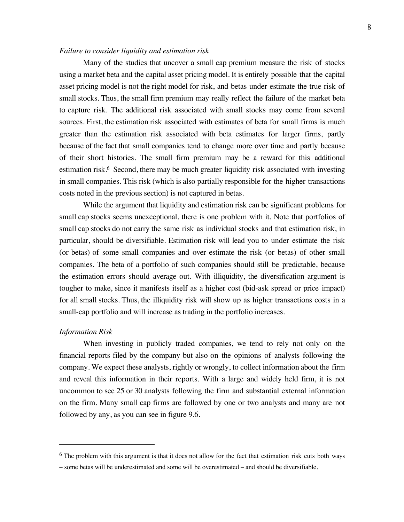#### *Failure to consider liquidity and estimation risk*

Many of the studies that uncover a small cap premium measure the risk of stocks using a market beta and the capital asset pricing model. It is entirely possible that the capital asset pricing model is not the right model for risk, and betas under estimate the true risk of small stocks. Thus, the small firm premium may really reflect the failure of the market beta to capture risk. The additional risk associated with small stocks may come from several sources. First, the estimation risk associated with estimates of beta for small firms is much greater than the estimation risk associated with beta estimates for larger firms, partly because of the fact that small companies tend to change more over time and partly because of their short histories. The small firm premium may be a reward for this additional estimation risk.<sup>6</sup> Second, there may be much greater liquidity risk associated with investing in small companies. This risk (which is also partially responsible for the higher transactions costs noted in the previous section) is not captured in betas.

While the argument that liquidity and estimation risk can be significant problems for small cap stocks seems unexceptional, there is one problem with it. Note that portfolios of small cap stocks do not carry the same risk as individual stocks and that estimation risk, in particular, should be diversifiable. Estimation risk will lead you to under estimate the risk (or betas) of some small companies and over estimate the risk (or betas) of other small companies. The beta of a portfolio of such companies should still be predictable, because the estimation errors should average out. With illiquidity, the diversification argument is tougher to make, since it manifests itself as a higher cost (bid-ask spread or price impact) for all small stocks. Thus, the illiquidity risk will show up as higher transactions costs in a small-cap portfolio and will increase as trading in the portfolio increases.

#### *Information Risk*

 $\overline{a}$ 

When investing in publicly traded companies, we tend to rely not only on the financial reports filed by the company but also on the opinions of analysts following the company. We expect these analysts, rightly or wrongly, to collect information about the firm and reveal this information in their reports. With a large and widely held firm, it is not uncommon to see 25 or 30 analysts following the firm and substantial external information on the firm. Many small cap firms are followed by one or two analysts and many are not followed by any, as you can see in figure 9.6.

 $6$  The problem with this argument is that it does not allow for the fact that estimation risk cuts both ways – some betas will be underestimated and some will be overestimated – and should be diversifiable.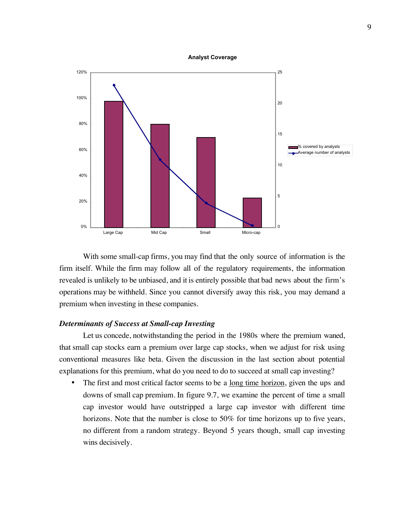#### **Analyst Coverage**



With some small-cap firms, you may find that the only source of information is the firm itself. While the firm may follow all of the regulatory requirements, the information revealed is unlikely to be unbiased, and it is entirely possible that bad news about the firm's operations may be withheld. Since you cannot diversify away this risk, you may demand a premium when investing in these companies.

#### *Determinants of Success at Small-cap Investing*

Let us concede, notwithstanding the period in the 1980s where the premium waned, that small cap stocks earn a premium over large cap stocks, when we adjust for risk using conventional measures like beta. Given the discussion in the last section about potential explanations for this premium, what do you need to do to succeed at small cap investing?

The first and most critical factor seems to be a <u>long time horizon</u>, given the ups and downs of small cap premium. In figure 9.7, we examine the percent of time a small cap investor would have outstripped a large cap investor with different time horizons. Note that the number is close to 50% for time horizons up to five years, no different from a random strategy. Beyond 5 years though, small cap investing wins decisively.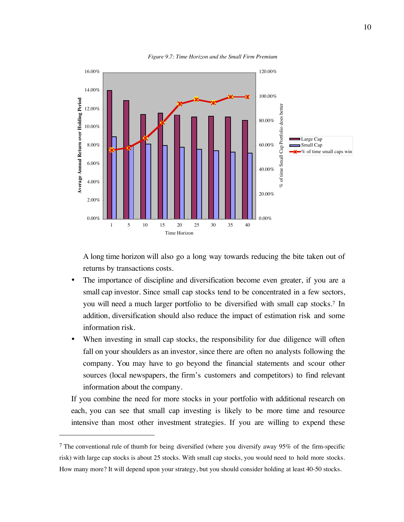

*Figure 9.7: Time Horizon and the Small Firm Premium*

A long time horizon will also go a long way towards reducing the bite taken out of returns by transactions costs.

- The importance of discipline and diversification become even greater, if you are a small cap investor. Since small cap stocks tend to be concentrated in a few sectors, you will need a much larger portfolio to be diversified with small cap stocks.7 In addition, diversification should also reduce the impact of estimation risk and some information risk.
- When investing in small cap stocks, the responsibility for due diligence will often fall on your shoulders as an investor, since there are often no analysts following the company. You may have to go beyond the financial statements and scour other sources (local newspapers, the firm's customers and competitors) to find relevant information about the company.

If you combine the need for more stocks in your portfolio with additional research on each, you can see that small cap investing is likely to be more time and resource intensive than most other investment strategies. If you are willing to expend these

 $\overline{a}$ 

<sup>&</sup>lt;sup>7</sup> The conventional rule of thumb for being diversified (where you diversify away 95% of the firm-specific risk) with large cap stocks is about 25 stocks. With small cap stocks, you would need to hold more stocks. How many more? It will depend upon your strategy, but you should consider holding at least 40-50 stocks.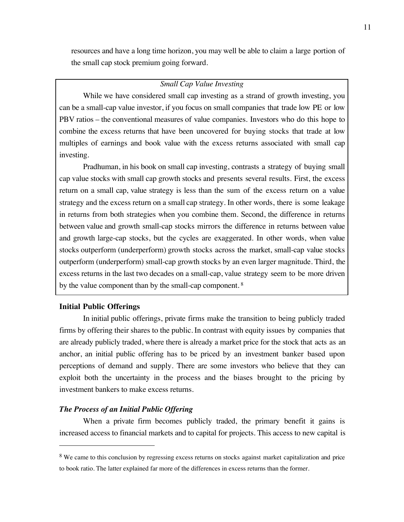resources and have a long time horizon, you may well be able to claim a large portion of the small cap stock premium going forward.

#### *Small Cap Value Investing*

While we have considered small cap investing as a strand of growth investing, you can be a small-cap value investor, if you focus on small companies that trade low PE or low PBV ratios – the conventional measures of value companies. Investors who do this hope to combine the excess returns that have been uncovered for buying stocks that trade at low multiples of earnings and book value with the excess returns associated with small cap investing.

Pradhuman, in his book on small cap investing, contrasts a strategy of buying small cap value stocks with small cap growth stocks and presents several results. First, the excess return on a small cap, value strategy is less than the sum of the excess return on a value strategy and the excess return on a small cap strategy. In other words, there is some leakage in returns from both strategies when you combine them. Second, the difference in returns between value and growth small-cap stocks mirrors the difference in returns between value and growth large-cap stocks, but the cycles are exaggerated. In other words, when value stocks outperform (underperform) growth stocks across the market, small-cap value stocks outperform (underperform) small-cap growth stocks by an even larger magnitude. Third, the excess returns in the last two decades on a small-cap, value strategy seem to be more driven by the value component than by the small-cap component. <sup>8</sup>

### **Initial Public Offerings**

 $\overline{a}$ 

In initial public offerings, private firms make the transition to being publicly traded firms by offering their shares to the public. In contrast with equity issues by companies that are already publicly traded, where there is already a market price for the stock that acts as an anchor, an initial public offering has to be priced by an investment banker based upon perceptions of demand and supply. There are some investors who believe that they can exploit both the uncertainty in the process and the biases brought to the pricing by investment bankers to make excess returns.

### *The Process of an Initial Public Offering*

When a private firm becomes publicly traded, the primary benefit it gains is increased access to financial markets and to capital for projects. This access to new capital is

<sup>&</sup>lt;sup>8</sup> We came to this conclusion by regressing excess returns on stocks against market capitalization and price to book ratio. The latter explained far more of the differences in excess returns than the former.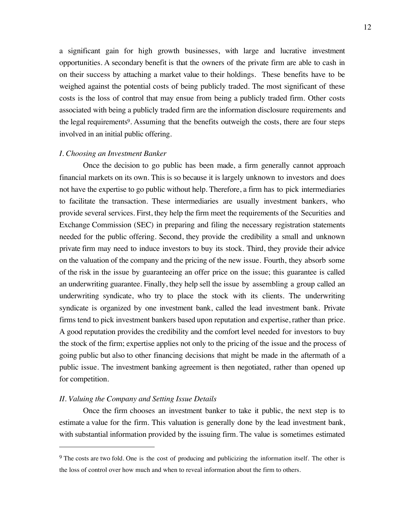a significant gain for high growth businesses, with large and lucrative investment opportunities. A secondary benefit is that the owners of the private firm are able to cash in on their success by attaching a market value to their holdings. These benefits have to be weighed against the potential costs of being publicly traded. The most significant of these costs is the loss of control that may ensue from being a publicly traded firm. Other costs associated with being a publicly traded firm are the information disclosure requirements and the legal requirements<sup>9</sup>. Assuming that the benefits outweigh the costs, there are four steps involved in an initial public offering.

#### *I. Choosing an Investment Banker*

Once the decision to go public has been made, a firm generally cannot approach financial markets on its own. This is so because it is largely unknown to investors and does not have the expertise to go public without help. Therefore, a firm has to pick intermediaries to facilitate the transaction. These intermediaries are usually investment bankers, who provide several services. First, they help the firm meet the requirements of the Securities and Exchange Commission (SEC) in preparing and filing the necessary registration statements needed for the public offering. Second, they provide the credibility a small and unknown private firm may need to induce investors to buy its stock. Third, they provide their advice on the valuation of the company and the pricing of the new issue. Fourth, they absorb some of the risk in the issue by guaranteeing an offer price on the issue; this guarantee is called an underwriting guarantee. Finally, they help sell the issue by assembling a group called an underwriting syndicate, who try to place the stock with its clients. The underwriting syndicate is organized by one investment bank, called the lead investment bank. Private firms tend to pick investment bankers based upon reputation and expertise, rather than price. A good reputation provides the credibility and the comfort level needed for investors to buy the stock of the firm; expertise applies not only to the pricing of the issue and the process of going public but also to other financing decisions that might be made in the aftermath of a public issue. The investment banking agreement is then negotiated, rather than opened up for competition.

#### *II. Valuing the Company and Setting Issue Details*

 $\overline{a}$ 

Once the firm chooses an investment banker to take it public, the next step is to estimate a value for the firm. This valuation is generally done by the lead investment bank, with substantial information provided by the issuing firm. The value is sometimes estimated

<sup>&</sup>lt;sup>9</sup> The costs are two fold. One is the cost of producing and publicizing the information itself. The other is the loss of control over how much and when to reveal information about the firm to others.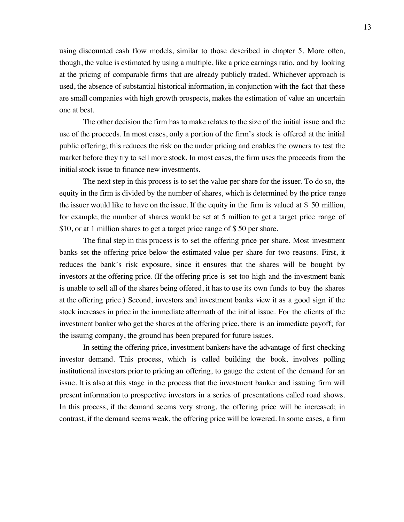using discounted cash flow models, similar to those described in chapter 5. More often, though, the value is estimated by using a multiple, like a price earnings ratio, and by looking at the pricing of comparable firms that are already publicly traded. Whichever approach is used, the absence of substantial historical information, in conjunction with the fact that these are small companies with high growth prospects, makes the estimation of value an uncertain one at best.

The other decision the firm has to make relates to the size of the initial issue and the use of the proceeds. In most cases, only a portion of the firm's stock is offered at the initial public offering; this reduces the risk on the under pricing and enables the owners to test the market before they try to sell more stock. In most cases, the firm uses the proceeds from the initial stock issue to finance new investments.

The next step in this process is to set the value per share for the issuer. To do so, the equity in the firm is divided by the number of shares, which is determined by the price range the issuer would like to have on the issue. If the equity in the firm is valued at  $$50$  million, for example, the number of shares would be set at 5 million to get a target price range of \$10, or at 1 million shares to get a target price range of \$ 50 per share.

The final step in this process is to set the offering price per share. Most investment banks set the offering price below the estimated value per share for two reasons. First, it reduces the bank's risk exposure, since it ensures that the shares will be bought by investors at the offering price. (If the offering price is set too high and the investment bank is unable to sell all of the shares being offered, it has to use its own funds to buy the shares at the offering price.) Second, investors and investment banks view it as a good sign if the stock increases in price in the immediate aftermath of the initial issue. For the clients of the investment banker who get the shares at the offering price, there is an immediate payoff; for the issuing company, the ground has been prepared for future issues.

In setting the offering price, investment bankers have the advantage of first checking investor demand. This process, which is called building the book, involves polling institutional investors prior to pricing an offering, to gauge the extent of the demand for an issue. It is also at this stage in the process that the investment banker and issuing firm will present information to prospective investors in a series of presentations called road shows. In this process, if the demand seems very strong, the offering price will be increased; in contrast, if the demand seems weak, the offering price will be lowered. In some cases, a firm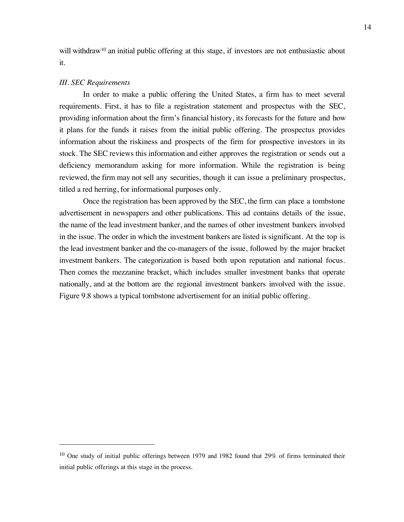will withdraw<sup>10</sup> an initial public offering at this stage, if investors are not enthusiastic about it.

#### *III. SEC Requirements*

 $\overline{a}$ 

In order to make a public offering the United States, a firm has to meet several requirements. First, it has to file a registration statement and prospectus with the SEC, providing information about the firm's financial history, its forecasts for the future and how it plans for the funds it raises from the initial public offering. The prospectus provides information about the riskiness and prospects of the firm for prospective investors in its stock. The SEC reviews this information and either approves the registration or sends out a deficiency memorandum asking for more information. While the registration is being reviewed, the firm may not sell any securities, though it can issue a preliminary prospectus, titled a red herring, for informational purposes only.

Once the registration has been approved by the SEC, the firm can place a tombstone advertisement in newspapers and other publications. This ad contains details of the issue, the name of the lead investment banker, and the names of other investment bankers involved in the issue. The order in which the investment bankers are listed is significant. At the top is the lead investment banker and the co-managers of the issue, followed by the major bracket investment bankers. The categorization is based both upon reputation and national focus. Then comes the mezzanine bracket, which includes smaller investment banks that operate nationally, and at the bottom are the regional investment bankers involved with the issue. Figure 9.8 shows a typical tombstone advertisement for an initial public offering.

<sup>&</sup>lt;sup>10</sup> One study of initial public offerings between 1979 and 1982 found that 29% of firms terminated their initial public offerings at this stage in the process.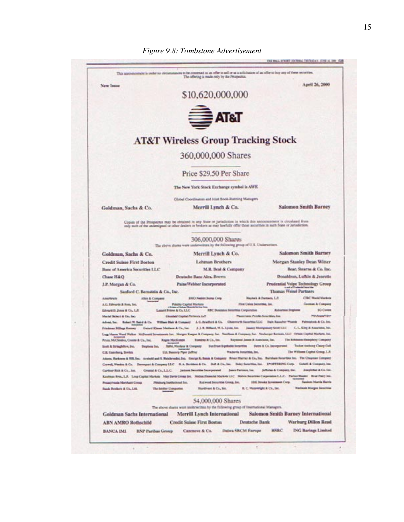

#### *Figure 9.8: Tombstone Advertisement*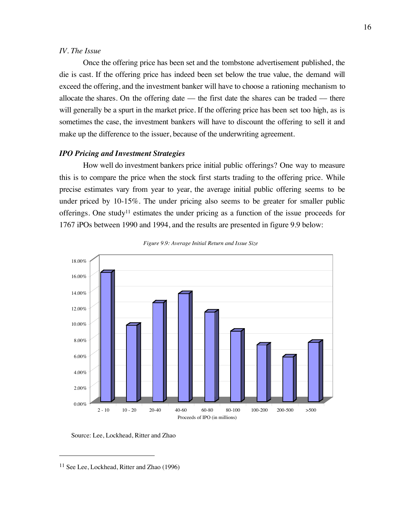#### *IV. The Issue*

Once the offering price has been set and the tombstone advertisement published, the die is cast. If the offering price has indeed been set below the true value, the demand will exceed the offering, and the investment banker will have to choose a rationing mechanism to allocate the shares. On the offering date  $-$  the first date the shares can be traded  $-$  there will generally be a spurt in the market price. If the offering price has been set too high, as is sometimes the case, the investment bankers will have to discount the offering to sell it and make up the difference to the issuer, because of the underwriting agreement.

### *IPO Pricing and Investment Strategies*

How well do investment bankers price initial public offerings? One way to measure this is to compare the price when the stock first starts trading to the offering price. While precise estimates vary from year to year, the average initial public offering seems to be under priced by 10-15%. The under pricing also seems to be greater for smaller public offerings. One study11 estimates the under pricing as a function of the issue proceeds for 1767 iPOs between 1990 and 1994, and the results are presented in figure 9.9 below:





 $\overline{a}$ 

Source: Lee, Lockhead, Ritter and Zhao

<sup>11</sup> See Lee, Lockhead, Ritter and Zhao (1996)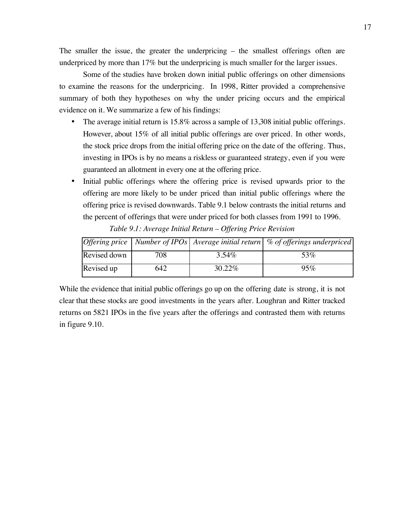The smaller the issue, the greater the underpricing – the smallest offerings often are underpriced by more than 17% but the underpricing is much smaller for the larger issues.

Some of the studies have broken down initial public offerings on other dimensions to examine the reasons for the underpricing. In 1998, Ritter provided a comprehensive summary of both they hypotheses on why the under pricing occurs and the empirical evidence on it. We summarize a few of his findings:

- The average initial return is 15.8% across a sample of 13,308 initial public offerings. However, about 15% of all initial public offerings are over priced. In other words, the stock price drops from the initial offering price on the date of the offering. Thus, investing in IPOs is by no means a riskless or guaranteed strategy, even if you were guaranteed an allotment in every one at the offering price.
- Initial public offerings where the offering price is revised upwards prior to the offering are more likely to be under priced than initial public offerings where the offering price is revised downwards. Table 9.1 below contrasts the initial returns and the percent of offerings that were under priced for both classes from 1991 to 1996.

|              |     |           | Offering price   Number of IPOs   Average initial return   % of offerings underpriced |
|--------------|-----|-----------|---------------------------------------------------------------------------------------|
| Revised down | 708 | $3.54\%$  | <b>53%</b>                                                                            |
| Revised up   | 642 | $30.22\%$ | 95%                                                                                   |

*Table 9.1: Average Initial Return – Offering Price Revision*

While the evidence that initial public offerings go up on the offering date is strong, it is not clear that these stocks are good investments in the years after. Loughran and Ritter tracked returns on 5821 IPOs in the five years after the offerings and contrasted them with returns in figure 9.10.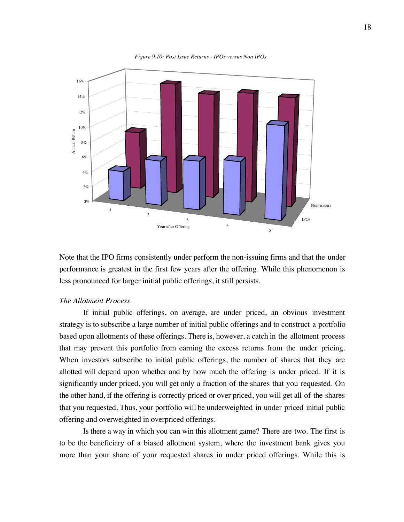

*Figure 9.10: Post Issue Returns - IPOs versus Non IPOs*

Note that the IPO firms consistently under perform the non-issuing firms and that the under performance is greatest in the first few years after the offering. While this phenomenon is less pronounced for larger initial public offerings, it still persists.

#### *The Allotment Process*

If initial public offerings, on average, are under priced, an obvious investment strategy is to subscribe a large number of initial public offerings and to construct a portfolio based upon allotments of these offerings. There is, however, a catch in the allotment process that may prevent this portfolio from earning the excess returns from the under pricing. When investors subscribe to initial public offerings, the number of shares that they are allotted will depend upon whether and by how much the offering is under priced. If it is significantly under priced, you will get only a fraction of the shares that you requested. On the other hand, if the offering is correctly priced or over priced, you will get all of the shares that you requested. Thus, your portfolio will be underweighted in under priced initial public offering and overweighted in overpriced offerings.

Is there a way in which you can win this allotment game? There are two. The first is to be the beneficiary of a biased allotment system, where the investment bank gives you more than your share of your requested shares in under priced offerings. While this is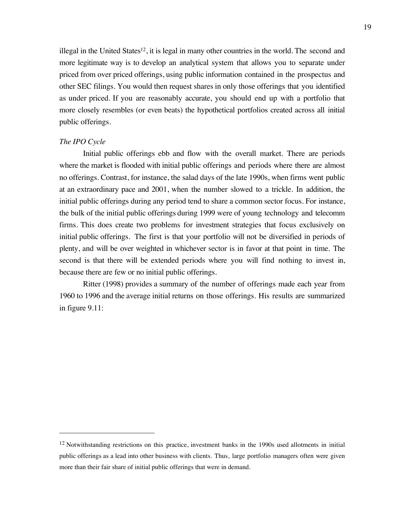illegal in the United States<sup>12</sup>, it is legal in many other countries in the world. The second and more legitimate way is to develop an analytical system that allows you to separate under priced from over priced offerings, using public information contained in the prospectus and other SEC filings. You would then request shares in only those offerings that you identified as under priced. If you are reasonably accurate, you should end up with a portfolio that more closely resembles (or even beats) the hypothetical portfolios created across all initial public offerings.

#### *The IPO Cycle*

 $\overline{a}$ 

Initial public offerings ebb and flow with the overall market. There are periods where the market is flooded with initial public offerings and periods where there are almost no offerings. Contrast, for instance, the salad days of the late 1990s, when firms went public at an extraordinary pace and 2001, when the number slowed to a trickle. In addition, the initial public offerings during any period tend to share a common sector focus. For instance, the bulk of the initial public offerings during 1999 were of young technology and telecomm firms. This does create two problems for investment strategies that focus exclusively on initial public offerings. The first is that your portfolio will not be diversified in periods of plenty, and will be over weighted in whichever sector is in favor at that point in time. The second is that there will be extended periods where you will find nothing to invest in, because there are few or no initial public offerings.

Ritter (1998) provides a summary of the number of offerings made each year from 1960 to 1996 and the average initial returns on those offerings. His results are summarized in figure 9.11:

<sup>&</sup>lt;sup>12</sup> Notwithstanding restrictions on this practice, investment banks in the 1990s used allotments in initial public offerings as a lead into other business with clients. Thus, large portfolio managers often were given more than their fair share of initial public offerings that were in demand.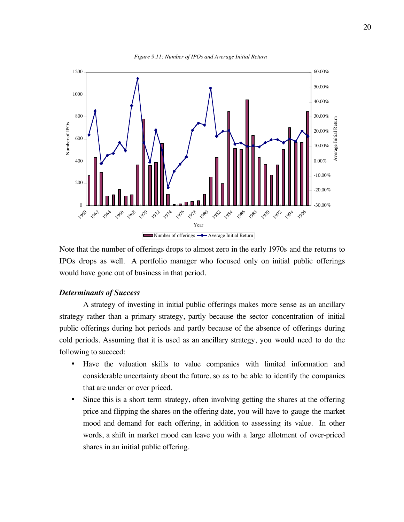



Note that the number of offerings drops to almost zero in the early 1970s and the returns to IPOs drops as well. A portfolio manager who focused only on initial public offerings would have gone out of business in that period.

#### *Determinants of Success*

A strategy of investing in initial public offerings makes more sense as an ancillary strategy rather than a primary strategy, partly because the sector concentration of initial public offerings during hot periods and partly because of the absence of offerings during cold periods. Assuming that it is used as an ancillary strategy, you would need to do the following to succeed:

- Have the valuation skills to value companies with limited information and considerable uncertainty about the future, so as to be able to identify the companies that are under or over priced.
- Since this is a short term strategy, often involving getting the shares at the offering price and flipping the shares on the offering date, you will have to gauge the market mood and demand for each offering, in addition to assessing its value. In other words, a shift in market mood can leave you with a large allotment of over-priced shares in an initial public offering.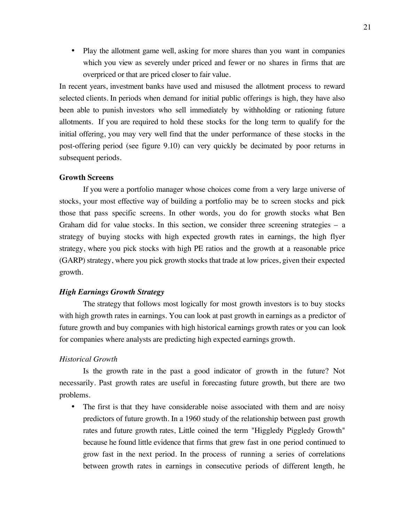• Play the allotment game well, asking for more shares than you want in companies which you view as severely under priced and fewer or no shares in firms that are overpriced or that are priced closer to fair value.

In recent years, investment banks have used and misused the allotment process to reward selected clients. In periods when demand for initial public offerings is high, they have also been able to punish investors who sell immediately by withholding or rationing future allotments. If you are required to hold these stocks for the long term to qualify for the initial offering, you may very well find that the under performance of these stocks in the post-offering period (see figure 9.10) can very quickly be decimated by poor returns in subsequent periods.

## **Growth Screens**

If you were a portfolio manager whose choices come from a very large universe of stocks, your most effective way of building a portfolio may be to screen stocks and pick those that pass specific screens. In other words, you do for growth stocks what Ben Graham did for value stocks. In this section, we consider three screening strategies – a strategy of buying stocks with high expected growth rates in earnings, the high flyer strategy, where you pick stocks with high PE ratios and the growth at a reasonable price (GARP) strategy, where you pick growth stocks that trade at low prices, given their expected growth.

#### *High Earnings Growth Strategy*

The strategy that follows most logically for most growth investors is to buy stocks with high growth rates in earnings. You can look at past growth in earnings as a predictor of future growth and buy companies with high historical earnings growth rates or you can look for companies where analysts are predicting high expected earnings growth.

#### *Historical Growth*

Is the growth rate in the past a good indicator of growth in the future? Not necessarily. Past growth rates are useful in forecasting future growth, but there are two problems.

• The first is that they have considerable noise associated with them and are noisy predictors of future growth. In a 1960 study of the relationship between past growth rates and future growth rates, Little coined the term "Higgledy Piggledy Growth" because he found little evidence that firms that grew fast in one period continued to grow fast in the next period. In the process of running a series of correlations between growth rates in earnings in consecutive periods of different length, he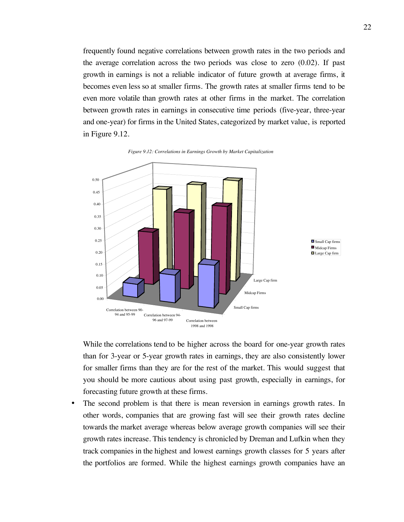frequently found negative correlations between growth rates in the two periods and the average correlation across the two periods was close to zero (0.02). If past growth in earnings is not a reliable indicator of future growth at average firms, it becomes even less so at smaller firms. The growth rates at smaller firms tend to be even more volatile than growth rates at other firms in the market. The correlation between growth rates in earnings in consecutive time periods (five-year, three-year and one-year) for firms in the United States, categorized by market value, is reported in Figure 9.12.



*Figure 9.12: Correlations in Earnings Growth by Market Capitalization*

While the correlations tend to be higher across the board for one-year growth rates than for 3-year or 5-year growth rates in earnings, they are also consistently lower for smaller firms than they are for the rest of the market. This would suggest that you should be more cautious about using past growth, especially in earnings, for forecasting future growth at these firms.

The second problem is that there is mean reversion in earnings growth rates. In other words, companies that are growing fast will see their growth rates decline towards the market average whereas below average growth companies will see their growth rates increase. This tendency is chronicled by Dreman and Lufkin when they track companies in the highest and lowest earnings growth classes for 5 years after the portfolios are formed. While the highest earnings growth companies have an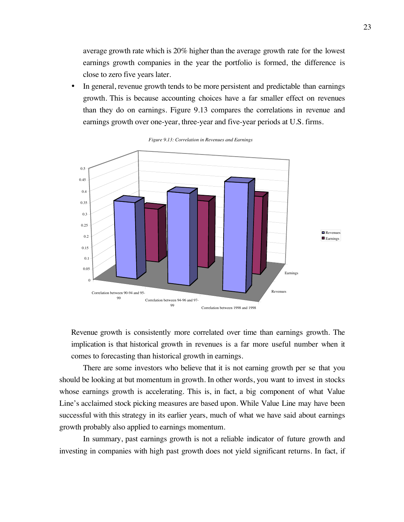average growth rate which is 20% higher than the average growth rate for the lowest earnings growth companies in the year the portfolio is formed, the difference is close to zero five years later.

In general, revenue growth tends to be more persistent and predictable than earnings growth. This is because accounting choices have a far smaller effect on revenues than they do on earnings. Figure 9.13 compares the correlations in revenue and earnings growth over one-year, three-year and five-year periods at U.S. firms.



*Figure 9.13: Correlation in Revenues and Earnings*

Revenue growth is consistently more correlated over time than earnings growth. The implication is that historical growth in revenues is a far more useful number when it comes to forecasting than historical growth in earnings.

There are some investors who believe that it is not earning growth per se that you should be looking at but momentum in growth. In other words, you want to invest in stocks whose earnings growth is accelerating. This is, in fact, a big component of what Value Line's acclaimed stock picking measures are based upon. While Value Line may have been successful with this strategy in its earlier years, much of what we have said about earnings growth probably also applied to earnings momentum.

In summary, past earnings growth is not a reliable indicator of future growth and investing in companies with high past growth does not yield significant returns. In fact, if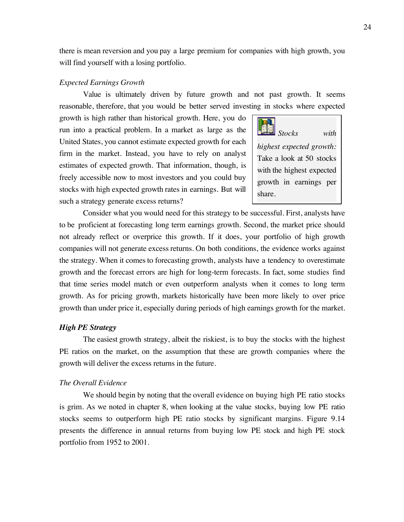there is mean reversion and you pay a large premium for companies with high growth, you will find yourself with a losing portfolio.

#### *Expected Earnings Growth*

Value is ultimately driven by future growth and not past growth. It seems reasonable, therefore, that you would be better served investing in stocks where expected

growth is high rather than historical growth. Here, you do run into a practical problem. In a market as large as the United States, you cannot estimate expected growth for each firm in the market. Instead, you have to rely on analyst estimates of expected growth. That information, though, is freely accessible now to most investors and you could buy stocks with high expected growth rates in earnings. But will such a strategy generate excess returns?

*Stocks with highest expected growth:* Take a look at 50 stocks with the highest expected growth in earnings per share.

Consider what you would need for this strategy to be successful. First, analysts have to be proficient at forecasting long term earnings growth. Second, the market price should not already reflect or overprice this growth. If it does, your portfolio of high growth companies will not generate excess returns. On both conditions, the evidence works against the strategy. When it comes to forecasting growth, analysts have a tendency to overestimate growth and the forecast errors are high for long-term forecasts. In fact, some studies find that time series model match or even outperform analysts when it comes to long term growth. As for pricing growth, markets historically have been more likely to over price growth than under price it, especially during periods of high earnings growth for the market.

#### *High PE Strategy*

The easiest growth strategy, albeit the riskiest, is to buy the stocks with the highest PE ratios on the market, on the assumption that these are growth companies where the growth will deliver the excess returns in the future.

#### *The Overall Evidence*

We should begin by noting that the overall evidence on buying high PE ratio stocks is grim. As we noted in chapter 8, when looking at the value stocks, buying low PE ratio stocks seems to outperform high PE ratio stocks by significant margins. Figure 9.14 presents the difference in annual returns from buying low PE stock and high PE stock portfolio from 1952 to 2001.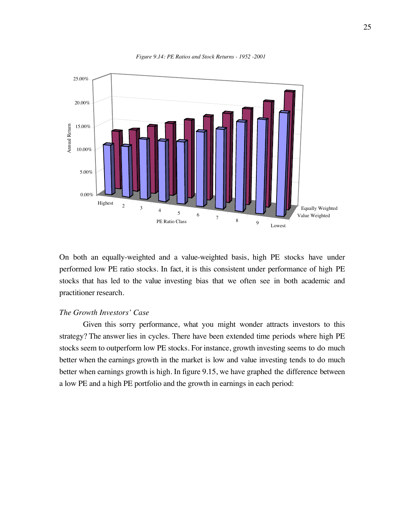

On both an equally-weighted and a value-weighted basis, high PE stocks have under performed low PE ratio stocks. In fact, it is this consistent under performance of high PE stocks that has led to the value investing bias that we often see in both academic and practitioner research.

### *The Growth Investors' Case*

Given this sorry performance, what you might wonder attracts investors to this strategy? The answer lies in cycles. There have been extended time periods where high PE stocks seem to outperform low PE stocks. For instance, growth investing seems to do much better when the earnings growth in the market is low and value investing tends to do much better when earnings growth is high. In figure 9.15, we have graphed the difference between a low PE and a high PE portfolio and the growth in earnings in each period: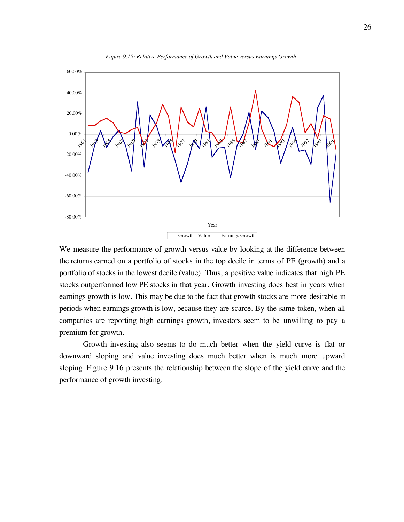

*Figure 9.15: Relative Performance of Growth and Value versus Earnings Growth*

We measure the performance of growth versus value by looking at the difference between the returns earned on a portfolio of stocks in the top decile in terms of PE (growth) and a portfolio of stocks in the lowest decile (value). Thus, a positive value indicates that high PE stocks outperformed low PE stocks in that year. Growth investing does best in years when earnings growth is low. This may be due to the fact that growth stocks are more desirable in periods when earnings growth is low, because they are scarce. By the same token, when all companies are reporting high earnings growth, investors seem to be unwilling to pay a premium for growth.

Growth investing also seems to do much better when the yield curve is flat or downward sloping and value investing does much better when is much more upward sloping. Figure 9.16 presents the relationship between the slope of the yield curve and the performance of growth investing.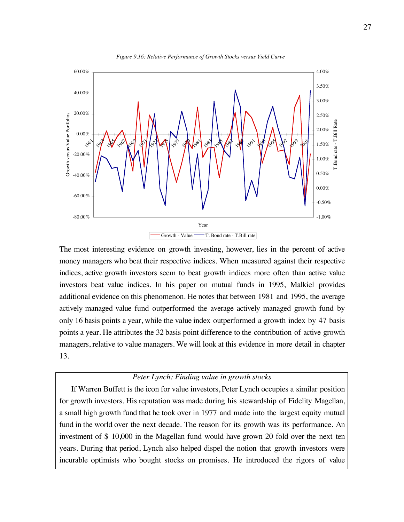

*Figure 9.16: Relative Performance of Growth Stocks versus Yield Curve*

The most interesting evidence on growth investing, however, lies in the percent of active money managers who beat their respective indices. When measured against their respective indices, active growth investors seem to beat growth indices more often than active value investors beat value indices. In his paper on mutual funds in 1995, Malkiel provides additional evidence on this phenomenon. He notes that between 1981 and 1995, the average actively managed value fund outperformed the average actively managed growth fund by only 16 basis points a year, while the value index outperformed a growth index by 47 basis points a year. He attributes the 32 basis point difference to the contribution of active growth managers, relative to value managers. We will look at this evidence in more detail in chapter 13.

### *Peter Lynch: Finding value in growth stocks*

If Warren Buffett is the icon for value investors, Peter Lynch occupies a similar position for growth investors. His reputation was made during his stewardship of Fidelity Magellan, a small high growth fund that he took over in 1977 and made into the largest equity mutual fund in the world over the next decade. The reason for its growth was its performance. An investment of \$ 10,000 in the Magellan fund would have grown 20 fold over the next ten years. During that period, Lynch also helped dispel the notion that growth investors were incurable optimists who bought stocks on promises. He introduced the rigors of value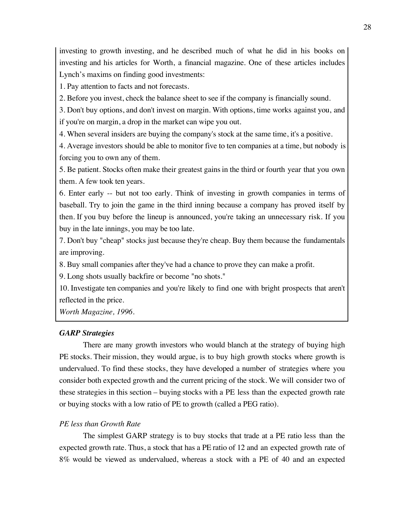investing to growth investing, and he described much of what he did in his books on investing and his articles for Worth, a financial magazine. One of these articles includes Lynch's maxims on finding good investments:

1. Pay attention to facts and not forecasts.

2. Before you invest, check the balance sheet to see if the company is financially sound.

3. Don't buy options, and don't invest on margin. With options, time works against you, and if you're on margin, a drop in the market can wipe you out.

4. When several insiders are buying the company's stock at the same time, it's a positive.

4. Average investors should be able to monitor five to ten companies at a time, but nobody is forcing you to own any of them.

5. Be patient. Stocks often make their greatest gains in the third or fourth year that you own them. A few took ten years.

6. Enter early -- but not too early. Think of investing in growth companies in terms of baseball. Try to join the game in the third inning because a company has proved itself by then. If you buy before the lineup is announced, you're taking an unnecessary risk. If you buy in the late innings, you may be too late.

7. Don't buy "cheap" stocks just because they're cheap. Buy them because the fundamentals are improving.

8. Buy small companies after they've had a chance to prove they can make a profit.

9. Long shots usually backfire or become "no shots."

10. Investigate ten companies and you're likely to find one with bright prospects that aren't reflected in the price.

*Worth Magazine, 1996.*

## *GARP Strategies*

There are many growth investors who would blanch at the strategy of buying high PE stocks. Their mission, they would argue, is to buy high growth stocks where growth is undervalued. To find these stocks, they have developed a number of strategies where you consider both expected growth and the current pricing of the stock. We will consider two of these strategies in this section – buying stocks with a PE less than the expected growth rate or buying stocks with a low ratio of PE to growth (called a PEG ratio).

# *PE less than Growth Rate*

The simplest GARP strategy is to buy stocks that trade at a PE ratio less than the expected growth rate. Thus, a stock that has a PE ratio of 12 and an expected growth rate of 8% would be viewed as undervalued, whereas a stock with a PE of 40 and an expected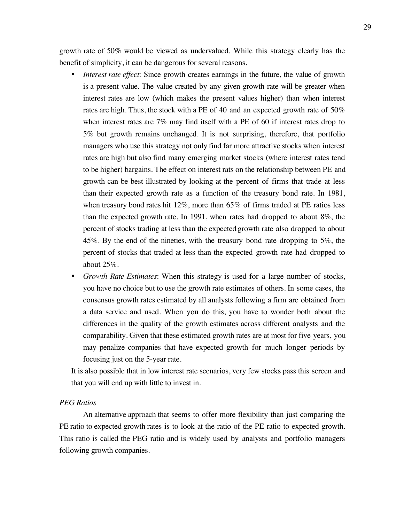growth rate of 50% would be viewed as undervalued. While this strategy clearly has the benefit of simplicity, it can be dangerous for several reasons.

- *Interest rate effect*: Since growth creates earnings in the future, the value of growth is a present value. The value created by any given growth rate will be greater when interest rates are low (which makes the present values higher) than when interest rates are high. Thus, the stock with a PE of 40 and an expected growth rate of 50% when interest rates are 7% may find itself with a PE of 60 if interest rates drop to 5% but growth remains unchanged. It is not surprising, therefore, that portfolio managers who use this strategy not only find far more attractive stocks when interest rates are high but also find many emerging market stocks (where interest rates tend to be higher) bargains. The effect on interest rats on the relationship between PE and growth can be best illustrated by looking at the percent of firms that trade at less than their expected growth rate as a function of the treasury bond rate. In 1981, when treasury bond rates hit  $12\%$ , more than 65% of firms traded at PE ratios less than the expected growth rate. In 1991, when rates had dropped to about 8%, the percent of stocks trading at less than the expected growth rate also dropped to about 45%. By the end of the nineties, with the treasury bond rate dropping to 5%, the percent of stocks that traded at less than the expected growth rate had dropped to about 25%.
- *Growth Rate Estimates*: When this strategy is used for a large number of stocks, you have no choice but to use the growth rate estimates of others. In some cases, the consensus growth rates estimated by all analysts following a firm are obtained from a data service and used. When you do this, you have to wonder both about the differences in the quality of the growth estimates across different analysts and the comparability. Given that these estimated growth rates are at most for five years, you may penalize companies that have expected growth for much longer periods by focusing just on the 5-year rate.

It is also possible that in low interest rate scenarios, very few stocks pass this screen and that you will end up with little to invest in.

#### *PEG Ratios*

An alternative approach that seems to offer more flexibility than just comparing the PE ratio to expected growth rates is to look at the ratio of the PE ratio to expected growth. This ratio is called the PEG ratio and is widely used by analysts and portfolio managers following growth companies.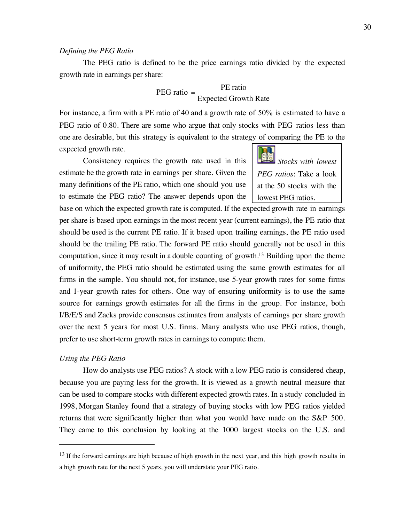#### *Defining the PEG Ratio*

The PEG ratio is defined to be the price earnings ratio divided by the expected growth rate in earnings per share:

# PEG ratio  $=$  PE ratio Expected Growth Rate

*Stocks with lowest* For instance, a firm with a PE ratio of 40 and a growth rate of 50% is estimated to have a PEG ratio of 0.80. There are some who argue that only stocks with PEG ratios less than one are desirable, but this strategy is equivalent to the strategy of comparing the PE to the expected growth rate.

Consistency requires the growth rate used in this estimate be the growth rate in earnings per share. Given the many definitions of the PE ratio, which one should you use to estimate the PEG ratio? The answer depends upon the

base on which the expected growth rate is computed. If the expected growth rate in earnings per share is based upon earnings in the most recent year (current earnings), the PE ratio that should be used is the current PE ratio. If it based upon trailing earnings, the PE ratio used should be the trailing PE ratio. The forward PE ratio should generally not be used in this computation, since it may result in a double counting of growth.13 Building upon the theme of uniformity, the PEG ratio should be estimated using the same growth estimates for all firms in the sample. You should not, for instance, use 5-year growth rates for some firms and 1-year growth rates for others. One way of ensuring uniformity is to use the same source for earnings growth estimates for all the firms in the group. For instance, both I/B/E/S and Zacks provide consensus estimates from analysts of earnings per share growth over the next 5 years for most U.S. firms. Many analysts who use PEG ratios, though, prefer to use short-term growth rates in earnings to compute them.

### *Using the PEG Ratio*

 $\overline{a}$ 

How do analysts use PEG ratios? A stock with a low PEG ratio is considered cheap, because you are paying less for the growth. It is viewed as a growth neutral measure that can be used to compare stocks with different expected growth rates. In a study concluded in 1998, Morgan Stanley found that a strategy of buying stocks with low PEG ratios yielded returns that were significantly higher than what you would have made on the S&P 500. They came to this conclusion by looking at the 1000 largest stocks on the U.S. and

*PEG ratios*: Take a look at the 50 stocks with the

lowest PEG ratios.

<sup>&</sup>lt;sup>13</sup> If the forward earnings are high because of high growth in the next year, and this high growth results in a high growth rate for the next 5 years, you will understate your PEG ratio.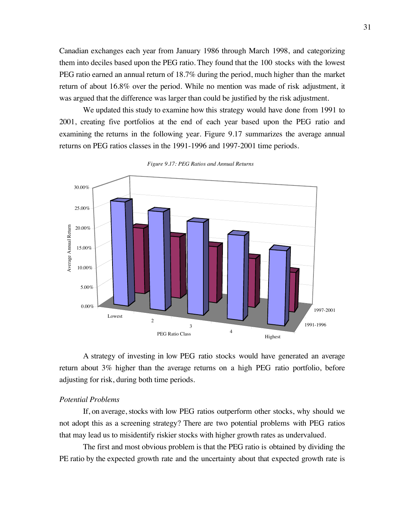Canadian exchanges each year from January 1986 through March 1998, and categorizing them into deciles based upon the PEG ratio. They found that the 100 stocks with the lowest PEG ratio earned an annual return of 18.7% during the period, much higher than the market return of about 16.8% over the period. While no mention was made of risk adjustment, it was argued that the difference was larger than could be justified by the risk adjustment.

We updated this study to examine how this strategy would have done from 1991 to 2001, creating five portfolios at the end of each year based upon the PEG ratio and examining the returns in the following year. Figure 9.17 summarizes the average annual returns on PEG ratios classes in the 1991-1996 and 1997-2001 time periods.



*Figure 9.17: PEG Ratios and Annual Returns*

A strategy of investing in low PEG ratio stocks would have generated an average return about 3% higher than the average returns on a high PEG ratio portfolio, before adjusting for risk, during both time periods.

#### *Potential Problems*

If, on average, stocks with low PEG ratios outperform other stocks, why should we not adopt this as a screening strategy? There are two potential problems with PEG ratios that may lead us to misidentify riskier stocks with higher growth rates as undervalued.

The first and most obvious problem is that the PEG ratio is obtained by dividing the PE ratio by the expected growth rate and the uncertainty about that expected growth rate is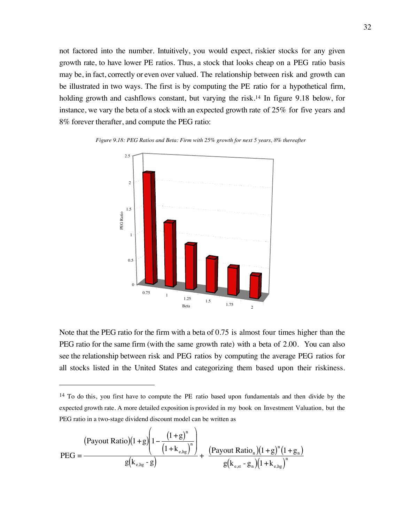not factored into the number. Intuitively, you would expect, riskier stocks for any given growth rate, to have lower PE ratios. Thus, a stock that looks cheap on a PEG ratio basis may be, in fact, correctly or even over valued. The relationship between risk and growth can be illustrated in two ways. The first is by computing the PE ratio for a hypothetical firm, holding growth and cashflows constant, but varying the risk.<sup>14</sup> In figure 9.18 below, for instance, we vary the beta of a stock with an expected growth rate of 25% for five years and 8% forever therafter, and compute the PEG ratio:





Note that the PEG ratio for the firm with a beta of 0.75 is almost four times higher than the PEG ratio for the same firm (with the same growth rate) with a beta of 2.00. You can also see the relationship between risk and PEG ratios by computing the average PEG ratios for all stocks listed in the United States and categorizing them based upon their riskiness.

$$
\text{PEG} = \frac{(\text{Payout Ratio})(1+g)\left(1-\frac{(1+g)^n}{(1+k_{e,hg})^n}\right)}{g(k_{e,hg}-g)} + \frac{(\text{Payout Ratio}_n)(1+g)^n(1+g_n)}{g(k_{e,st}-g_n)(1+k_{e,hg})^n}
$$

 $\overline{a}$ 

<sup>&</sup>lt;sup>14</sup> To do this, you first have to compute the PE ratio based upon fundamentals and then divide by the expected growth rate. A more detailed exposition is provided in my book on Investment Valuation, but the PEG ratio in a two-stage dividend discount model can be written as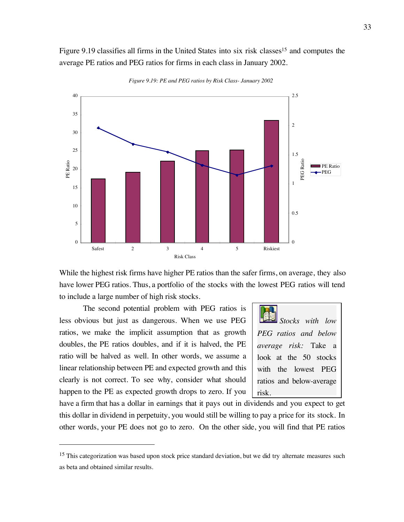Figure 9.19 classifies all firms in the United States into six risk classes<sup>15</sup> and computes the average PE ratios and PEG ratios for firms in each class in January 2002.



*Figure 9.19: PE and PEG ratios by Risk Class- January 2002*

While the highest risk firms have higher PE ratios than the safer firms, on average, they also have lower PEG ratios. Thus, a portfolio of the stocks with the lowest PEG ratios will tend to include a large number of high risk stocks.

The second potential problem with PEG ratios is less obvious but just as dangerous. When we use PEG ratios, we make the implicit assumption that as growth doubles, the PE ratios doubles, and if it is halved, the PE ratio will be halved as well. In other words, we assume a linear relationship between PE and expected growth and this clearly is not correct. To see why, consider what should happen to the PE as expected growth drops to zero. If you

 $\overline{a}$ 



have a firm that has a dollar in earnings that it pays out in dividends and you expect to get this dollar in dividend in perpetuity, you would still be willing to pay a price for its stock. In other words, your PE does not go to zero. On the other side, you will find that PE ratios

<sup>&</sup>lt;sup>15</sup> This categorization was based upon stock price standard deviation, but we did try alternate measures such as beta and obtained similar results.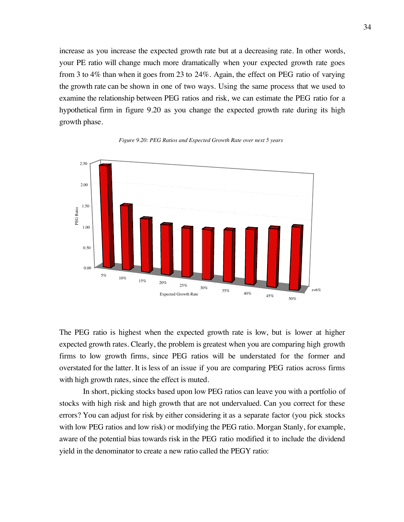increase as you increase the expected growth rate but at a decreasing rate. In other words, your PE ratio will change much more dramatically when your expected growth rate goes from 3 to 4% than when it goes from 23 to 24%. Again, the effect on PEG ratio of varying the growth rate can be shown in one of two ways. Using the same process that we used to examine the relationship between PEG ratios and risk, we can estimate the PEG ratio for a hypothetical firm in figure 9.20 as you change the expected growth rate during its high growth phase.



#### *Figure 9.20: PEG Ratios and Expected Growth Rate over next 5 years*

The PEG ratio is highest when the expected growth rate is low, but is lower at higher expected growth rates. Clearly, the problem is greatest when you are comparing high growth firms to low growth firms, since PEG ratios will be understated for the former and overstated for the latter. It is less of an issue if you are comparing PEG ratios across firms with high growth rates, since the effect is muted.

In short, picking stocks based upon low PEG ratios can leave you with a portfolio of stocks with high risk and high growth that are not undervalued. Can you correct for these errors? You can adjust for risk by either considering it as a separate factor (you pick stocks with low PEG ratios and low risk) or modifying the PEG ratio. Morgan Stanly, for example, aware of the potential bias towards risk in the PEG ratio modified it to include the dividend yield in the denominator to create a new ratio called the PEGY ratio: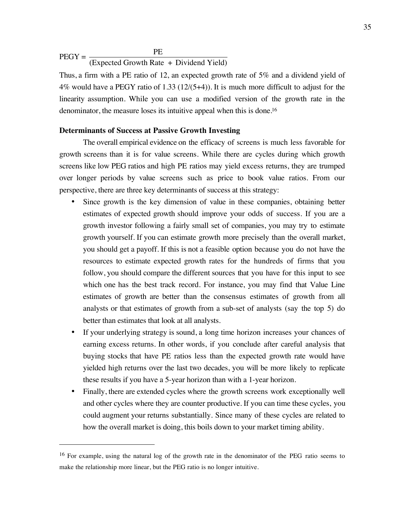$\text{PEGY} = \frac{\text{PE}}{\text{TE} \times \text{10} \times \text{10}}$ (Expected Growth Rate + Dividend Yield)

Thus, a firm with a PE ratio of 12, an expected growth rate of 5% and a dividend yield of 4% would have a PEGY ratio of 1.33 (12/(5+4)). It is much more difficult to adjust for the linearity assumption. While you can use a modified version of the growth rate in the denominator, the measure loses its intuitive appeal when this is done.16

### **Determinants of Success at Passive Growth Investing**

The overall empirical evidence on the efficacy of screens is much less favorable for growth screens than it is for value screens. While there are cycles during which growth screens like low PEG ratios and high PE ratios may yield excess returns, they are trumped over longer periods by value screens such as price to book value ratios. From our perspective, there are three key determinants of success at this strategy:

- Since growth is the key dimension of value in these companies, obtaining better estimates of expected growth should improve your odds of success. If you are a growth investor following a fairly small set of companies, you may try to estimate growth yourself. If you can estimate growth more precisely than the overall market, you should get a payoff. If this is not a feasible option because you do not have the resources to estimate expected growth rates for the hundreds of firms that you follow, you should compare the different sources that you have for this input to see which one has the best track record. For instance, you may find that Value Line estimates of growth are better than the consensus estimates of growth from all analysts or that estimates of growth from a sub-set of analysts (say the top 5) do better than estimates that look at all analysts.
- If your underlying strategy is sound, a long time horizon increases your chances of earning excess returns. In other words, if you conclude after careful analysis that buying stocks that have PE ratios less than the expected growth rate would have yielded high returns over the last two decades, you will be more likely to replicate these results if you have a 5-year horizon than with a 1-year horizon.
- Finally, there are extended cycles where the growth screens work exceptionally well and other cycles where they are counter productive. If you can time these cycles, you could augment your returns substantially. Since many of these cycles are related to how the overall market is doing, this boils down to your market timing ability.

 $\overline{a}$ 

<sup>&</sup>lt;sup>16</sup> For example, using the natural log of the growth rate in the denominator of the PEG ratio seems to make the relationship more linear, but the PEG ratio is no longer intuitive.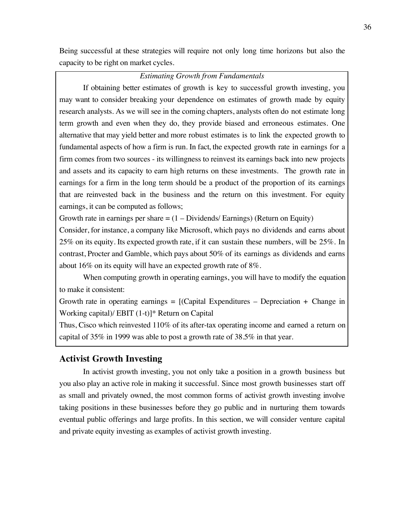Being successful at these strategies will require not only long time horizons but also the capacity to be right on market cycles.

# *Estimating Growth from Fundamentals*

If obtaining better estimates of growth is key to successful growth investing, you may want to consider breaking your dependence on estimates of growth made by equity research analysts. As we will see in the coming chapters, analysts often do not estimate long term growth and even when they do, they provide biased and erroneous estimates. One alternative that may yield better and more robust estimates is to link the expected growth to fundamental aspects of how a firm is run. In fact, the expected growth rate in earnings for a firm comes from two sources - its willingness to reinvest its earnings back into new projects and assets and its capacity to earn high returns on these investments. The growth rate in earnings for a firm in the long term should be a product of the proportion of its earnings that are reinvested back in the business and the return on this investment. For equity earnings, it can be computed as follows;

Growth rate in earnings per share  $= (1 - Dividends / Earning)$  (Return on Equity)

Consider, for instance, a company like Microsoft, which pays no dividends and earns about 25% on its equity. Its expected growth rate, if it can sustain these numbers, will be 25%. In contrast, Procter and Gamble, which pays about 50% of its earnings as dividends and earns about 16% on its equity will have an expected growth rate of 8%.

When computing growth in operating earnings, you will have to modify the equation to make it consistent:

Growth rate in operating earnings  $=$  [(Capital Expenditures – Depreciation  $+$  Change in Working capital)/ EBIT (1-t)]\* Return on Capital

Thus, Cisco which reinvested 110% of its after-tax operating income and earned a return on capital of 35% in 1999 was able to post a growth rate of 38.5% in that year.

# **Activist Growth Investing**

In activist growth investing, you not only take a position in a growth business but you also play an active role in making it successful. Since most growth businesses start off as small and privately owned, the most common forms of activist growth investing involve taking positions in these businesses before they go public and in nurturing them towards eventual public offerings and large profits. In this section, we will consider venture capital and private equity investing as examples of activist growth investing.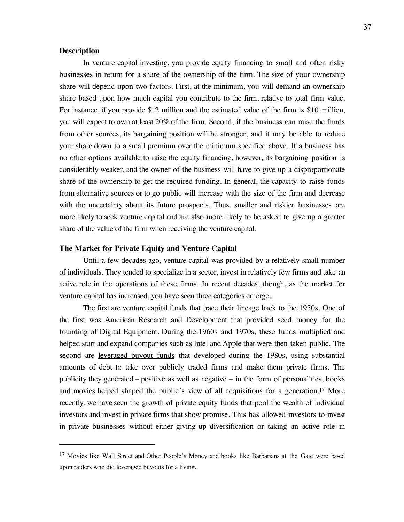#### **Description**

 $\overline{a}$ 

In venture capital investing, you provide equity financing to small and often risky businesses in return for a share of the ownership of the firm. The size of your ownership share will depend upon two factors. First, at the minimum, you will demand an ownership share based upon how much capital you contribute to the firm, relative to total firm value. For instance, if you provide \$ 2 million and the estimated value of the firm is \$10 million, you will expect to own at least 20% of the firm. Second, if the business can raise the funds from other sources, its bargaining position will be stronger, and it may be able to reduce your share down to a small premium over the minimum specified above. If a business has no other options available to raise the equity financing, however, its bargaining position is considerably weaker, and the owner of the business will have to give up a disproportionate share of the ownership to get the required funding. In general, the capacity to raise funds from alternative sources or to go public will increase with the size of the firm and decrease with the uncertainty about its future prospects. Thus, smaller and riskier businesses are more likely to seek venture capital and are also more likely to be asked to give up a greater share of the value of the firm when receiving the venture capital.

#### **The Market for Private Equity and Venture Capital**

Until a few decades ago, venture capital was provided by a relatively small number of individuals. They tended to specialize in a sector, invest in relatively few firms and take an active role in the operations of these firms. In recent decades, though, as the market for venture capital has increased, you have seen three categories emerge.

The first are venture capital funds that trace their lineage back to the 1950s. One of the first was American Research and Development that provided seed money for the founding of Digital Equipment. During the 1960s and 1970s, these funds multiplied and helped start and expand companies such as Intel and Apple that were then taken public. The second are leveraged buyout funds that developed during the 1980s, using substantial amounts of debt to take over publicly traded firms and make them private firms. The publicity they generated – positive as well as negative – in the form of personalities, books and movies helped shaped the public's view of all acquisitions for a generation.17 More recently, we have seen the growth of private equity funds that pool the wealth of individual investors and invest in private firms that show promise. This has allowed investors to invest in private businesses without either giving up diversification or taking an active role in

<sup>&</sup>lt;sup>17</sup> Movies like Wall Street and Other People's Money and books like Barbarians at the Gate were based upon raiders who did leveraged buyouts for a living.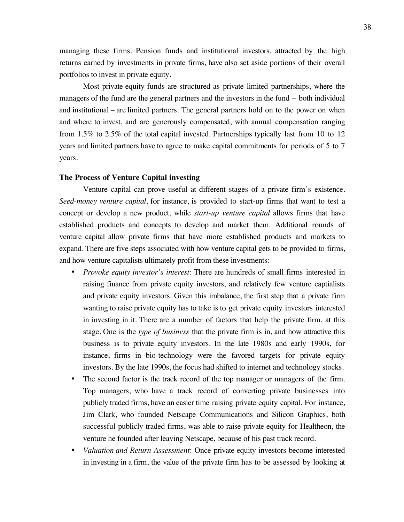managing these firms. Pension funds and institutional investors, attracted by the high returns earned by investments in private firms, have also set aside portions of their overall portfolios to invest in private equity.

Most private equity funds are structured as private limited partnerships, where the managers of the fund are the general partners and the investors in the fund – both individual and institutional – are limited partners. The general partners hold on to the power on when and where to invest, and are generously compensated, with annual compensation ranging from 1.5% to 2.5% of the total capital invested. Partnerships typically last from 10 to 12 years and limited partners have to agree to make capital commitments for periods of 5 to 7 years.

#### **The Process of Venture Capital investing**

Venture capital can prove useful at different stages of a private firm's existence. *Seed-money venture capital*, for instance, is provided to start-up firms that want to test a concept or develop a new product, while *start-up venture capital* allows firms that have established products and concepts to develop and market them. Additional rounds of venture capital allow private firms that have more established products and markets to expand. There are five steps associated with how venture capital gets to be provided to firms, and how venture capitalists ultimately profit from these investments:

- *Provoke equity investor's interest*: There are hundreds of small firms interested in raising finance from private equity investors, and relatively few venture captialists and private equity investors. Given this imbalance, the first step that a private firm wanting to raise private equity has to take is to get private equity investors interested in investing in it. There are a number of factors that help the private firm, at this stage. One is the *type of business* that the private firm is in, and how attractive this business is to private equity investors. In the late 1980s and early 1990s, for instance, firms in bio-technology were the favored targets for private equity investors. By the late 1990s, the focus had shifted to internet and technology stocks.
- The second factor is the track record of the top manager or managers of the firm. Top managers, who have a track record of converting private businesses into publicly traded firms, have an easier time raising private equity capital. For instance, Jim Clark, who founded Netscape Communications and Silicon Graphics, both successful publicly traded firms, was able to raise private equity for Healtheon, the venture he founded after leaving Netscape, because of his past track record.
- *Valuation and Return Assessment*: Once private equity investors become interested in investing in a firm, the value of the private firm has to be assessed by looking at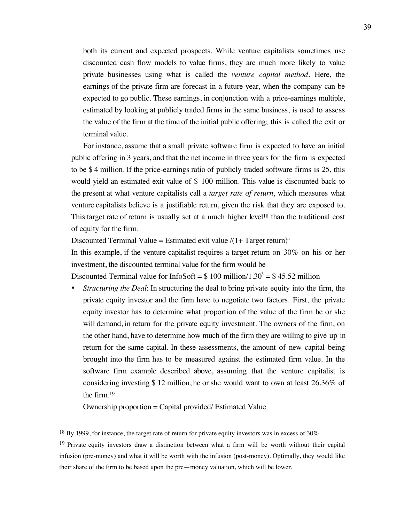both its current and expected prospects. While venture capitalists sometimes use discounted cash flow models to value firms, they are much more likely to value private businesses using what is called the *venture capital method*. Here, the earnings of the private firm are forecast in a future year, when the company can be expected to go public. These earnings, in conjunction with a price-earnings multiple, estimated by looking at publicly traded firms in the same business, is used to assess the value of the firm at the time of the initial public offering; this is called the exit or terminal value.

For instance, assume that a small private software firm is expected to have an initial public offering in 3 years, and that the net income in three years for the firm is expected to be \$ 4 million. If the price-earnings ratio of publicly traded software firms is 25, this would yield an estimated exit value of \$ 100 million. This value is discounted back to the present at what venture capitalists call a *target rate of return*, which measures what venture capitalists believe is a justifiable return, given the risk that they are exposed to. This target rate of return is usually set at a much higher level<sup>18</sup> than the traditional cost of equity for the firm.

Discounted Terminal Value = Estimated exit value  $/(1+Target$  return)<sup>n</sup>

In this example, if the venture capitalist requires a target return on 30% on his or her investment, the discounted terminal value for the firm would be

Discounted Terminal value for InfoSoft =  $$100$  million/1.30<sup>3</sup> =  $$45.52$  million

• *Structuring the Deal*: In structuring the deal to bring private equity into the firm, the private equity investor and the firm have to negotiate two factors. First, the private equity investor has to determine what proportion of the value of the firm he or she will demand, in return for the private equity investment. The owners of the firm, on the other hand, have to determine how much of the firm they are willing to give up in return for the same capital. In these assessments, the amount of new capital being brought into the firm has to be measured against the estimated firm value. In the software firm example described above, assuming that the venture capitalist is considering investing \$ 12 million, he or she would want to own at least 26.36% of the firm.19

Ownership proportion = Capital provided/ Estimated Value

 $\overline{a}$ 

<sup>&</sup>lt;sup>18</sup> By 1999, for instance, the target rate of return for private equity investors was in excess of 30%.

<sup>&</sup>lt;sup>19</sup> Private equity investors draw a distinction between what a firm will be worth without their capital infusion (pre-money) and what it will be worth with the infusion (post-money). Optimally, they would like their share of the firm to be based upon the pre—money valuation, which will be lower.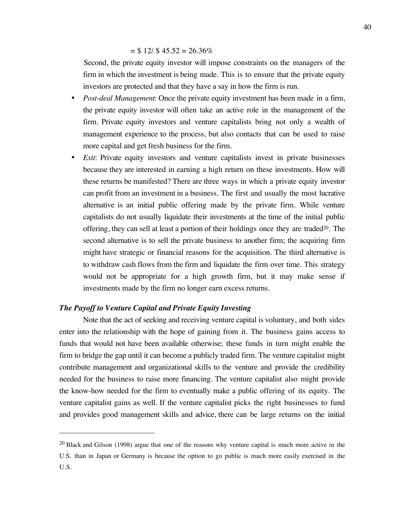#### $=$  \$ 12/ \$ 45.52 = 26.36%

Second, the private equity investor will impose constraints on the managers of the firm in which the investment is being made. This is to ensure that the private equity investors are protected and that they have a say in how the firm is run.

- *Post-deal Management*: Once the private equity investment has been made in a firm, the private equity investor will often take an active role in the management of the firm. Private equity investors and venture capitalists bring not only a wealth of management experience to the process, but also contacts that can be used to raise more capital and get fresh business for the firm.
- *Exit:* Private equity investors and venture capitalists invest in private businesses because they are interested in earning a high return on these investments. How will these returns be manifested? There are three ways in which a private equity investor can profit from an investment in a business. The first and usually the most lucrative alternative is an initial public offering made by the private firm. While venture capitalists do not usually liquidate their investments at the time of the initial public offering, they can sell at least a portion of their holdings once they are traded20. The second alternative is to sell the private business to another firm; the acquiring firm might have strategic or financial reasons for the acquisition. The third alternative is to withdraw cash flows from the firm and liquidate the firm over time. This strategy would not be appropriate for a high growth firm, but it may make sense if investments made by the firm no longer earn excess returns.

## *The Payoff to Venture Capital and Private Equity Investing*

 $\overline{a}$ 

Note that the act of seeking and receiving venture capital is voluntary, and both sides enter into the relationship with the hope of gaining from it. The business gains access to funds that would not have been available otherwise; these funds in turn might enable the firm to bridge the gap until it can become a publicly traded firm. The venture capitalist might contribute management and organizational skills to the venture and provide the credibility needed for the business to raise more financing. The venture capitalist also might provide the know-how needed for the firm to eventually make a public offering of its equity. The venture capitalist gains as well. If the venture capitalist picks the right businesses to fund and provides good management skills and advice, there can be large returns on the initial

 $20$  Black and Gilson (1998) argue that one of the reasons why venture capital is much more active in the U.S. than in Japan or Germany is because the option to go public is much more easily exercised in the U.S.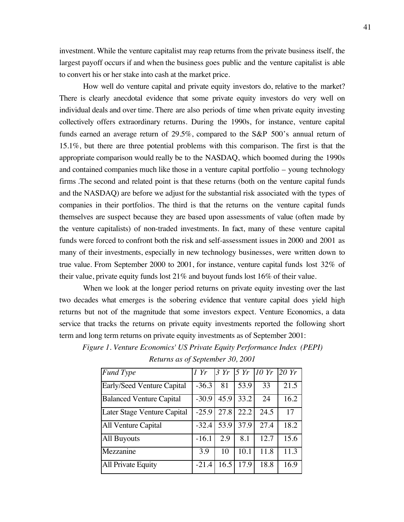investment. While the venture capitalist may reap returns from the private business itself, the largest payoff occurs if and when the business goes public and the venture capitalist is able to convert his or her stake into cash at the market price.

How well do venture capital and private equity investors do, relative to the market? There is clearly anecdotal evidence that some private equity investors do very well on individual deals and over time. There are also periods of time when private equity investing collectively offers extraordinary returns. During the 1990s, for instance, venture capital funds earned an average return of 29.5%, compared to the S&P 500's annual return of 15.1%, but there are three potential problems with this comparison. The first is that the appropriate comparison would really be to the NASDAQ, which boomed during the 1990s and contained companies much like those in a venture capital portfolio – young technology firms .The second and related point is that these returns (both on the venture capital funds and the NASDAQ) are before we adjust for the substantial risk associated with the types of companies in their portfolios. The third is that the returns on the venture capital funds themselves are suspect because they are based upon assessments of value (often made by the venture capitalists) of non-traded investments. In fact, many of these venture capital funds were forced to confront both the risk and self-assessment issues in 2000 and 2001 as many of their investments, especially in new technology businesses, were written down to true value. From September 2000 to 2001, for instance, venture capital funds lost 32% of their value, private equity funds lost 21% and buyout funds lost 16% of their value.

When we look at the longer period returns on private equity investing over the last two decades what emerges is the sobering evidence that venture capital does yield high returns but not of the magnitude that some investors expect. Venture Economics, a data service that tracks the returns on private equity investments reported the following short term and long term returns on private equity investments as of September 2001:

| <b>Fund Type</b>                | 1 Yr    | 3 Yr | 5 Yr | 10 Yr | 20 Yr |
|---------------------------------|---------|------|------|-------|-------|
| Early/Seed Venture Capital      | $-36.3$ | 81   | 53.9 | 33    | 21.5  |
| <b>Balanced Venture Capital</b> | $-30.9$ | 45.9 | 33.2 | 24    | 16.2  |
| Later Stage Venture Capital     | $-25.9$ | 27.8 | 22.2 | 24.5  | 17    |
| All Venture Capital             | $-32.4$ | 53.9 | 37.9 | 27.4  | 18.2  |
| <b>All Buyouts</b>              | $-16.1$ | 2.9  | 8.1  | 12.7  | 15.6  |
| Mezzanine                       | 3.9     | 10   | 10.1 | 11.8  | 11.3  |
| All Private Equity              | $-21.4$ | 16.5 | 17.9 | 18.8  | 16.9  |

*Figure 1. Venture Economics' US Private Equity Performance Index (PEPI) Returns as of September 30, 2001*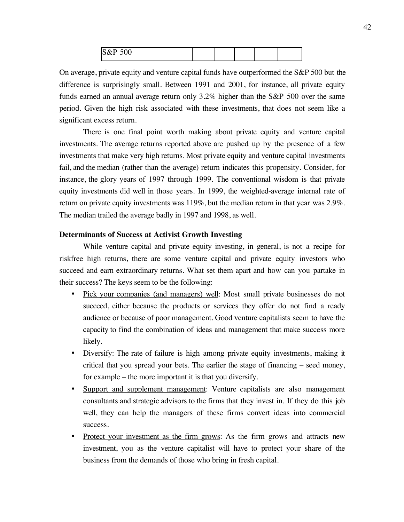| S&P 500 |  |  |  |
|---------|--|--|--|
|         |  |  |  |

On average, private equity and venture capital funds have outperformed the S&P 500 but the difference is surprisingly small. Between 1991 and 2001, for instance, all private equity funds earned an annual average return only 3.2% higher than the S&P 500 over the same period. Given the high risk associated with these investments, that does not seem like a significant excess return.

There is one final point worth making about private equity and venture capital investments. The average returns reported above are pushed up by the presence of a few investments that make very high returns. Most private equity and venture capital investments fail, and the median (rather than the average) return indicates this propensity. Consider, for instance, the glory years of 1997 through 1999. The conventional wisdom is that private equity investments did well in those years. In 1999, the weighted-average internal rate of return on private equity investments was 119%, but the median return in that year was 2.9%. The median trailed the average badly in 1997 and 1998, as well.

# **Determinants of Success at Activist Growth Investing**

While venture capital and private equity investing, in general, is not a recipe for riskfree high returns, there are some venture capital and private equity investors who succeed and earn extraordinary returns. What set them apart and how can you partake in their success? The keys seem to be the following:

- Pick your companies (and managers) well: Most small private businesses do not succeed, either because the products or services they offer do not find a ready audience or because of poor management. Good venture capitalists seem to have the capacity to find the combination of ideas and management that make success more likely.
- Diversify: The rate of failure is high among private equity investments, making it critical that you spread your bets. The earlier the stage of financing – seed money, for example – the more important it is that you diversify.
- Support and supplement management: Venture capitalists are also management consultants and strategic advisors to the firms that they invest in. If they do this job well, they can help the managers of these firms convert ideas into commercial success.
- Protect your investment as the firm grows: As the firm grows and attracts new investment, you as the venture capitalist will have to protect your share of the business from the demands of those who bring in fresh capital.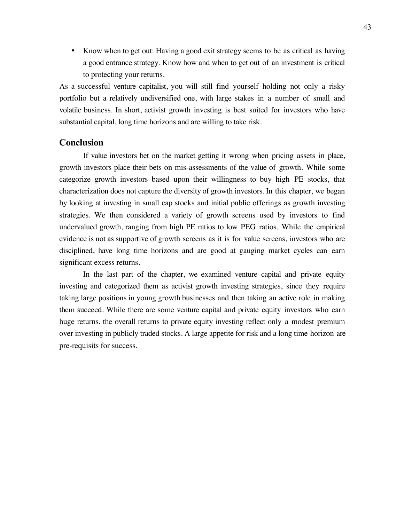• Know when to get out: Having a good exit strategy seems to be as critical as having a good entrance strategy. Know how and when to get out of an investment is critical to protecting your returns.

As a successful venture capitalist, you will still find yourself holding not only a risky portfolio but a relatively undiversified one, with large stakes in a number of small and volatile business. In short, activist growth investing is best suited for investors who have substantial capital, long time horizons and are willing to take risk.

# **Conclusion**

If value investors bet on the market getting it wrong when pricing assets in place, growth investors place their bets on mis-assessments of the value of growth. While some categorize growth investors based upon their willingness to buy high PE stocks, that characterization does not capture the diversity of growth investors. In this chapter, we began by looking at investing in small cap stocks and initial public offerings as growth investing strategies. We then considered a variety of growth screens used by investors to find undervalued growth, ranging from high PE ratios to low PEG ratios. While the empirical evidence is not as supportive of growth screens as it is for value screens, investors who are disciplined, have long time horizons and are good at gauging market cycles can earn significant excess returns.

In the last part of the chapter, we examined venture capital and private equity investing and categorized them as activist growth investing strategies, since they require taking large positions in young growth businesses and then taking an active role in making them succeed. While there are some venture capital and private equity investors who earn huge returns, the overall returns to private equity investing reflect only a modest premium over investing in publicly traded stocks. A large appetite for risk and a long time horizon are pre-requisits for success.